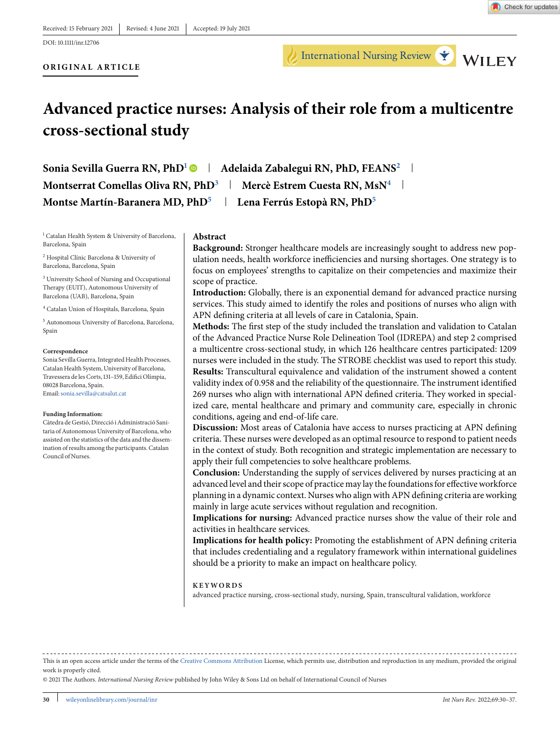International Nursing Review Y WILEY



#### **ORIGINAL ARTICLE**

# **Advanced practice nurses: Analysis of their role from a multicentre cross-sectional study**

Sonia Sevilla Guerra RN, PhD<sup>1</sup> | Adelaida Zabalegui RN, PhD, FEANS<sup>2</sup> | **Montserrat Comellas Oliva RN, PhD<sup>3</sup> | Mercè Estrem Cuesta RN, MsN<sup>4</sup> |** Montse Martín-Baranera MD, PhD<sup>5</sup> | Lena Ferrús Estopà RN, PhD<sup>5</sup>

<sup>1</sup> Catalan Health System & University of Barcelona, Barcelona, Spain

<sup>2</sup> Hospital Clínic Barcelona & University of Barcelona, Barcelona, Spain

<sup>3</sup> University School of Nursing and Occupational Therapy (EUIT), Autonomous University of Barcelona (UAB), Barcelona, Spain

<sup>4</sup> Catalan Union of Hospitals, Barcelona, Spain

<sup>5</sup> Autonomous University of Barcelona, Barcelona, Spain

#### **Correspondence**

Sonia Sevilla Guerra, Integrated Health Processes, Catalan Health System, University of Barcelona, Travessera de les Corts, 131–159, Edifici Olímpia, 08028 Barcelona, Spain. Email[:sonia.sevilla@catsalut.cat](mailto:sonia.sevilla@catsalut.cat)

#### **Funding Information:**

Càtedra de Gestió, Direcció i Administració Sanitaria of Autonomous University of Barcelona, who assisted on the statistics of the data and the dissemination of results among the participants. Catalan Council of Nurses.

#### **Abstract**

**Background:** Stronger healthcare models are increasingly sought to address new population needs, health workforce inefficiencies and nursing shortages. One strategy is to focus on employees' strengths to capitalize on their competencies and maximize their scope of practice.

**Introduction:** Globally, there is an exponential demand for advanced practice nursing services. This study aimed to identify the roles and positions of nurses who align with APN defining criteria at all levels of care in Catalonia, Spain.

**Methods:** The first step of the study included the translation and validation to Catalan of the Advanced Practice Nurse Role Delineation Tool (IDREPA) and step 2 comprised a multicentre cross-sectional study, in which 126 healthcare centres participated: 1209 nurses were included in the study. The STROBE checklist was used to report this study. **Results:** Transcultural equivalence and validation of the instrument showed a content validity index of 0.958 and the reliability of the questionnaire. The instrument identified 269 nurses who align with international APN defined criteria. They worked in specialized care, mental healthcare and primary and community care, especially in chronic conditions, ageing and end-of-life care.

**Discussion:** Most areas of Catalonia have access to nurses practicing at APN defining criteria. These nurses were developed as an optimal resource to respond to patient needs in the context of study. Both recognition and strategic implementation are necessary to apply their full competencies to solve healthcare problems.

**Conclusion:** Understanding the supply of services delivered by nurses practicing at an advanced level and their scope of practice may lay the foundations for effective workforce planning in a dynamic context. Nurses who align with APN defining criteria are working mainly in large acute services without regulation and recognition.

**Implications for nursing:** Advanced practice nurses show the value of their role and activities in healthcare services.

**Implications for health policy:** Promoting the establishment of APN defining criteria that includes credentialing and a regulatory framework within international guidelines should be a priority to make an impact on healthcare policy.

#### **KEYWORDS**

advanced practice nursing, cross-sectional study, nursing, Spain, transcultural validation, workforce

This is an open access article under the terms of the [Creative Commons Attribution](http://creativecommons.org/licenses/by/4.0/) License, which permits use, distribution and reproduction in any medium, provided the original work is properly cited.

© 2021 The Authors. *International Nursing Review* published by John Wiley & Sons Ltd on behalf of International Council of Nurses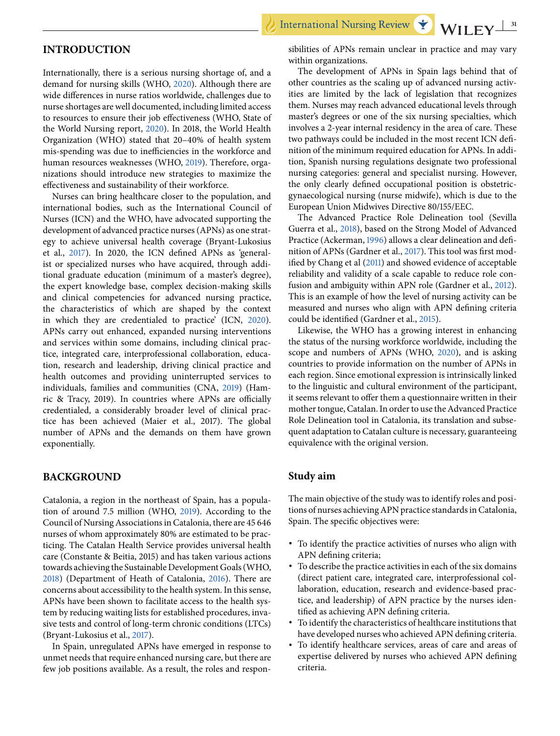International Nursing Review

## **INTRODUCTION**

Internationally, there is a serious nursing shortage of, and a demand for nursing skills (WHO, [2020\)](#page-7-0). Although there are wide differences in nurse ratios worldwide, challenges due to nurse shortages are well documented, including limited access to resources to ensure their job effectiveness (WHO, State of the World Nursing report, [2020\)](#page-7-0). In 2018, the World Health Organization (WHO) stated that 20–40% of health system mis-spending was due to inefficiencies in the workforce and human resources weaknesses (WHO, [2019\)](#page-7-0). Therefore, organizations should introduce new strategies to maximize the effectiveness and sustainability of their workforce.

Nurses can bring healthcare closer to the population, and international bodies, such as the International Council of Nurses (ICN) and the WHO, have advocated supporting the development of advanced practice nurses (APNs) as one strategy to achieve universal health coverage (Bryant-Lukosius et al., [2017\)](#page-6-0). In 2020, the ICN defined APNs as 'generalist or specialized nurses who have acquired, through additional graduate education (minimum of a master's degree), the expert knowledge base, complex decision-making skills and clinical competencies for advanced nursing practice, the characteristics of which are shaped by the context in which they are credentialed to practice' (ICN, [2020\)](#page-6-0). APNs carry out enhanced, expanded nursing interventions and services within some domains, including clinical practice, integrated care, interprofessional collaboration, education, research and leadership, driving clinical practice and health outcomes and providing uninterrupted services to individuals, families and communities (CNA, [2019\)](#page-6-0) (Hamric & Tracy, 2019). In countries where APNs are officially credentialed, a considerably broader level of clinical practice has been achieved (Maier et al., 2017). The global number of APNs and the demands on them have grown exponentially.

# **BACKGROUND**

Catalonia, a region in the northeast of Spain, has a population of around 7.5 million (WHO, [2019\)](#page-7-0). According to the Council of Nursing Associations in Catalonia, there are 45 646 nurses of whom approximately 80% are estimated to be practicing. The Catalan Health Service provides universal health care (Constante & Beitia, 2015) and has taken various actions towards achieving the Sustainable Development Goals (WHO, [2018\)](#page-7-0) (Department of Heath of Catalonia, [2016\)](#page-6-0). There are concerns about accessibility to the health system. In this sense, APNs have been shown to facilitate access to the health system by reducing waiting lists for established procedures, invasive tests and control of long-term chronic conditions (LTCs) (Bryant-Lukosius et al., [2017\)](#page-6-0).

In Spain, unregulated APNs have emerged in response to unmet needs that require enhanced nursing care, but there are few job positions available. As a result, the roles and respon-

sibilities of APNs remain unclear in practice and may vary within organizations.

The development of APNs in Spain lags behind that of other countries as the scaling up of advanced nursing activities are limited by the lack of legislation that recognizes them. Nurses may reach advanced educational levels through master's degrees or one of the six nursing specialties, which involves a 2-year internal residency in the area of care. These two pathways could be included in the most recent ICN definition of the minimum required education for APNs. In addition, Spanish nursing regulations designate two professional nursing categories: general and specialist nursing. However, the only clearly defined occupational position is obstetricgynaecological nursing (nurse midwife), which is due to the European Union Midwives Directive 80/155/EEC.

The Advanced Practice Role Delineation tool (Sevilla Guerra et al., [2018\)](#page-7-0), based on the Strong Model of Advanced Practice (Ackerman, [1996\)](#page-6-0) allows a clear delineation and definition of APNs (Gardner et al., [2017\)](#page-6-0). This tool was first modified by Chang et al [\(2011\)](#page-6-0) and showed evidence of acceptable reliability and validity of a scale capable to reduce role confusion and ambiguity within APN role (Gardner et al., [2012\)](#page-6-0). This is an example of how the level of nursing activity can be measured and nurses who align with APN defining criteria could be identified (Gardner et al., [2015\)](#page-6-0).

Likewise, the WHO has a growing interest in enhancing the status of the nursing workforce worldwide, including the scope and numbers of APNs (WHO, [2020\)](#page-7-0), and is asking countries to provide information on the number of APNs in each region. Since emotional expression is intrinsically linked to the linguistic and cultural environment of the participant, it seems relevant to offer them a questionnaire written in their mother tongue, Catalan. In order to use the Advanced Practice Role Delineation tool in Catalonia, its translation and subsequent adaptation to Catalan culture is necessary, guaranteeing equivalence with the original version.

## **Study aim**

The main objective of the study was to identify roles and positions of nurses achieving APN practice standards in Catalonia, Spain. The specific objectives were:

- ∙ To identify the practice activities of nurses who align with APN defining criteria;
- ∙ To describe the practice activities in each of the six domains (direct patient care, integrated care, interprofessional collaboration, education, research and evidence-based practice, and leadership) of APN practice by the nurses identified as achieving APN defining criteria.
- ∙ To identify the characteristics of healthcare institutions that have developed nurses who achieved APN defining criteria.
- ∙ To identify healthcare services, areas of care and areas of expertise delivered by nurses who achieved APN defining criteria.

WILEY $\frac{31}{2}$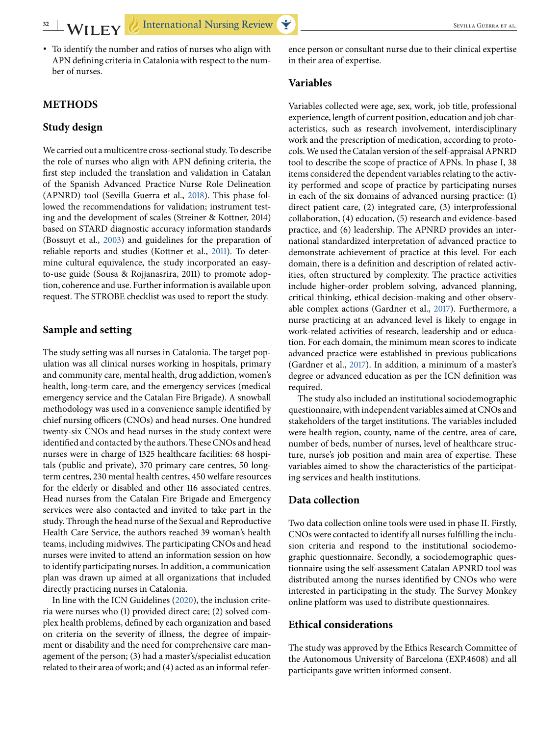∙ To identify the number and ratios of nurses who align with APN defining criteria in Catalonia with respect to the number of nurses.

## **METHODS**

## **Study design**

We carried out a multicentre cross-sectional study. To describe the role of nurses who align with APN defining criteria, the first step included the translation and validation in Catalan of the Spanish Advanced Practice Nurse Role Delineation (APNRD) tool (Sevilla Guerra et al., [2018\)](#page-7-0). This phase followed the recommendations for validation; instrument testing and the development of scales (Streiner & Kottner, 2014) based on STARD diagnostic accuracy information standards (Bossuyt et al., [2003\)](#page-6-0) and guidelines for the preparation of reliable reports and studies (Kottner et al., [2011\)](#page-7-0). To determine cultural equivalence, the study incorporated an easyto-use guide (Sousa & Rojjanasrira, 2011) to promote adoption, coherence and use. Further information is available upon request. The STROBE checklist was used to report the study.

## **Sample and setting**

The study setting was all nurses in Catalonia. The target population was all clinical nurses working in hospitals, primary and community care, mental health, drug addiction, women's health, long-term care, and the emergency services (medical emergency service and the Catalan Fire Brigade). A snowball methodology was used in a convenience sample identified by chief nursing officers (CNOs) and head nurses. One hundred twenty-six CNOs and head nurses in the study context were identified and contacted by the authors. These CNOs and head nurses were in charge of 1325 healthcare facilities: 68 hospitals (public and private), 370 primary care centres, 50 longterm centres, 230 mental health centres, 450 welfare resources for the elderly or disabled and other 116 associated centres. Head nurses from the Catalan Fire Brigade and Emergency services were also contacted and invited to take part in the study. Through the head nurse of the Sexual and Reproductive Health Care Service, the authors reached 39 woman's health teams, including midwives. The participating CNOs and head nurses were invited to attend an information session on how to identify participating nurses. In addition, a communication plan was drawn up aimed at all organizations that included directly practicing nurses in Catalonia.

In line with the ICN Guidelines [\(2020\)](#page-6-0), the inclusion criteria were nurses who (1) provided direct care; (2) solved complex health problems, defined by each organization and based on criteria on the severity of illness, the degree of impairment or disability and the need for comprehensive care management of the person; (3) had a master's/specialist education related to their area of work; and (4) acted as an informal refer-

ence person or consultant nurse due to their clinical expertise in their area of expertise.

## **Variables**

Variables collected were age, sex, work, job title, professional experience, length of current position, education and job characteristics, such as research involvement, interdisciplinary work and the prescription of medication, according to protocols. We used the Catalan version of the self-appraisal APNRD tool to describe the scope of practice of APNs. In phase I, 38 items considered the dependent variables relating to the activity performed and scope of practice by participating nurses in each of the six domains of advanced nursing practice: (1) direct patient care, (2) integrated care, (3) interprofessional collaboration, (4) education, (5) research and evidence-based practice, and (6) leadership. The APNRD provides an international standardized interpretation of advanced practice to demonstrate achievement of practice at this level. For each domain, there is a definition and description of related activities, often structured by complexity. The practice activities include higher-order problem solving, advanced planning, critical thinking, ethical decision-making and other observable complex actions (Gardner et al., [2017\)](#page-6-0). Furthermore, a nurse practicing at an advanced level is likely to engage in work-related activities of research, leadership and or education. For each domain, the minimum mean scores to indicate advanced practice were established in previous publications (Gardner et al., [2017\)](#page-6-0). In addition, a minimum of a master's degree or advanced education as per the ICN definition was required.

The study also included an institutional sociodemographic questionnaire, with independent variables aimed at CNOs and stakeholders of the target institutions. The variables included were health region, county, name of the centre, area of care, number of beds, number of nurses, level of healthcare structure, nurse's job position and main area of expertise. These variables aimed to show the characteristics of the participating services and health institutions.

# **Data collection**

Two data collection online tools were used in phase II. Firstly, CNOs were contacted to identify all nurses fulfilling the inclusion criteria and respond to the institutional sociodemographic questionnaire. Secondly, a sociodemographic questionnaire using the self-assessment Catalan APNRD tool was distributed among the nurses identified by CNOs who were interested in participating in the study. The Survey Monkey online platform was used to distribute questionnaires.

## **Ethical considerations**

The study was approved by the Ethics Research Committee of the Autonomous University of Barcelona (EXP.4608) and all participants gave written informed consent.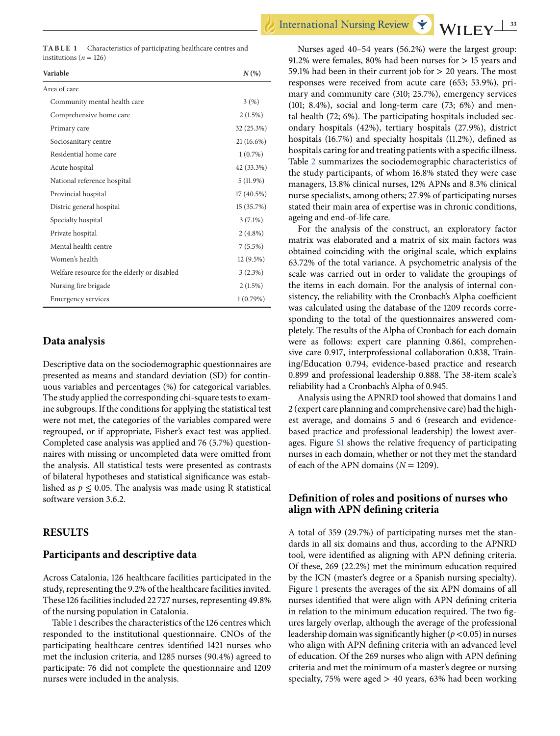|                            | <b>TABLE 1</b> Characteristics of participating healthcare centres and |
|----------------------------|------------------------------------------------------------------------|
| institutions ( $n = 126$ ) |                                                                        |

| Variable                                     | $N(\%)$      |  |  |
|----------------------------------------------|--------------|--|--|
| Area of care                                 |              |  |  |
| Community mental health care                 | 3(%)         |  |  |
| Comprehensive home care                      | $2(1.5\%)$   |  |  |
| Primary care                                 | 32 (25.3%)   |  |  |
| Sociosanitary centre                         | $21(16.6\%)$ |  |  |
| Residential home care                        | $1(0.7\%)$   |  |  |
| Acute hospital                               | 42 (33.3%)   |  |  |
| National reference hospital                  | $5(11.9\%)$  |  |  |
| Provincial hospital                          | $17(40.5\%)$ |  |  |
| Distric general hospital                     | 15 (35.7%)   |  |  |
| Specialty hospital                           | $3(7.1\%)$   |  |  |
| Private hospital                             | $2(4.8\%)$   |  |  |
| Mental health centre                         | $7(5.5\%)$   |  |  |
| Women's health                               | $12(9.5\%)$  |  |  |
| Welfare resource for the elderly or disabled | $3(2.3\%)$   |  |  |
| Nursing fire brigade                         | $2(1.5\%)$   |  |  |
| <b>Emergency services</b>                    | 1(0.79%)     |  |  |
|                                              |              |  |  |

## **Data analysis**

Descriptive data on the sociodemographic questionnaires are presented as means and standard deviation (SD) for continuous variables and percentages (%) for categorical variables. The study applied the corresponding chi-square tests to examine subgroups. If the conditions for applying the statistical test were not met, the categories of the variables compared were regrouped, or if appropriate, Fisher's exact test was applied. Completed case analysis was applied and 76 (5.7%) questionnaires with missing or uncompleted data were omitted from the analysis. All statistical tests were presented as contrasts of bilateral hypotheses and statistical significance was established as  $p \leq 0.05$ . The analysis was made using R statistical software version 3.6.2.

#### **RESULTS**

#### **Participants and descriptive data**

Across Catalonia, 126 healthcare facilities participated in the study, representing the 9.2% of the healthcare facilities invited. These 126 facilities included 22 727 nurses, representing 49.8% of the nursing population in Catalonia.

Table 1 describes the characteristics of the 126 centres which responded to the institutional questionnaire. CNOs of the participating healthcare centres identified 1421 nurses who met the inclusion criteria, and 1285 nurses (90.4%) agreed to participate: 76 did not complete the questionnaire and 1209 nurses were included in the analysis.

Nurses aged 40–54 years (56.2%) were the largest group: 91.2% were females, 80% had been nurses for > 15 years and 59.1% had been in their current job for > 20 years. The most responses were received from acute care (653; 53.9%), primary and community care (310; 25.7%), emergency services (101; 8.4%), social and long-term care (73; 6%) and mental health (72; 6%). The participating hospitals included secondary hospitals (42%), tertiary hospitals (27.9%), district hospitals (16.7%) and specialty hospitals (11.2%), defined as hospitals caring for and treating patients with a specific illness. Table [2](#page-5-0) summarizes the sociodemographic characteristics of the study participants, of whom 16.8% stated they were case managers, 13.8% clinical nurses, 12% APNs and 8.3% clinical nurse specialists, among others; 27.9% of participating nurses stated their main area of expertise was in chronic conditions, ageing and end-of-life care.

For the analysis of the construct, an exploratory factor matrix was elaborated and a matrix of six main factors was obtained coinciding with the original scale, which explains 63.72% of the total variance. A psychometric analysis of the scale was carried out in order to validate the groupings of the items in each domain. For the analysis of internal consistency, the reliability with the Cronbach's Alpha coefficient was calculated using the database of the 1209 records corresponding to the total of the questionnaires answered completely. The results of the Alpha of Cronbach for each domain were as follows: expert care planning 0.861, comprehensive care 0.917, interprofessional collaboration 0.838, Training/Education 0.794, evidence-based practice and research 0.899 and professional leadership 0.888. The 38-item scale's reliability had a Cronbach's Alpha of 0.945.

Analysis using the APNRD tool showed that domains 1 and 2 (expert care planning and comprehensive care) had the highest average, and domains 5 and 6 (research and evidencebased practice and professional leadership) the lowest averages. Figure S1 shows the relative frequency of participating nurses in each domain, whether or not they met the standard of each of the APN domains  $(N = 1209)$ .

# **Definition of roles and positions of nurses who align with APN defining criteria**

A total of 359 (29.7%) of participating nurses met the standards in all six domains and thus, according to the APNRD tool, were identified as aligning with APN defining criteria. Of these, 269 (22.2%) met the minimum education required by the ICN (master's degree or a Spanish nursing specialty). Figure [1](#page-4-0) presents the averages of the six APN domains of all nurses identified that were align with APN defining criteria in relation to the minimum education required. The two figures largely overlap, although the average of the professional leadership domain was significantly higher (*p* <0.05) in nurses who align with APN defining criteria with an advanced level of education. Of the 269 nurses who align with APN defining criteria and met the minimum of a master's degree or nursing specialty, 75% were aged  $> 40$  years, 63% had been working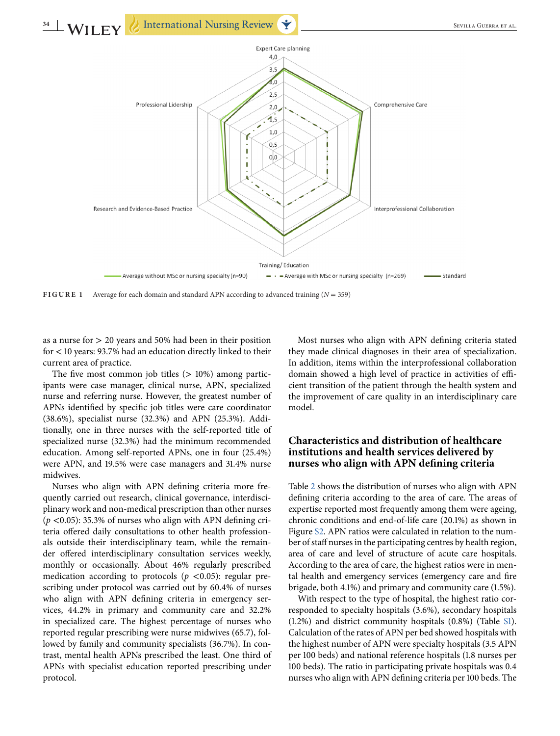<span id="page-4-0"></span>

**FIGURE 1** Average for each domain and standard APN according to advanced training  $(N = 359)$ 

as a nurse for  $> 20$  years and 50% had been in their position for < 10 years: 93.7% had an education directly linked to their current area of practice.

The five most common job titles  $(> 10\%)$  among participants were case manager, clinical nurse, APN, specialized nurse and referring nurse. However, the greatest number of APNs identified by specific job titles were care coordinator (38.6%), specialist nurse (32.3%) and APN (25.3%). Additionally, one in three nurses with the self-reported title of specialized nurse (32.3%) had the minimum recommended education. Among self-reported APNs, one in four (25.4%) were APN, and 19.5% were case managers and 31.4% nurse midwives.

Nurses who align with APN defining criteria more frequently carried out research, clinical governance, interdisciplinary work and non-medical prescription than other nurses ( $p$  <0.05): 35.3% of nurses who align with APN defining criteria offered daily consultations to other health professionals outside their interdisciplinary team, while the remainder offered interdisciplinary consultation services weekly, monthly or occasionally. About 46% regularly prescribed medication according to protocols ( $p < 0.05$ ): regular prescribing under protocol was carried out by 60.4% of nurses who align with APN defining criteria in emergency services, 44.2% in primary and community care and 32.2% in specialized care. The highest percentage of nurses who reported regular prescribing were nurse midwives (65.7), followed by family and community specialists (36.7%). In contrast, mental health APNs prescribed the least. One third of APNs with specialist education reported prescribing under protocol.

Most nurses who align with APN defining criteria stated they made clinical diagnoses in their area of specialization. In addition, items within the interprofessional collaboration domain showed a high level of practice in activities of efficient transition of the patient through the health system and the improvement of care quality in an interdisciplinary care model.

# **Characteristics and distribution of healthcare institutions and health services delivered by nurses who align with APN defining criteria**

Table [2](#page-5-0) shows the distribution of nurses who align with APN defining criteria according to the area of care. The areas of expertise reported most frequently among them were ageing, chronic conditions and end-of-life care (20.1%) as shown in Figure S2. APN ratios were calculated in relation to the number of staff nurses in the participating centres by health region, area of care and level of structure of acute care hospitals. According to the area of care, the highest ratios were in mental health and emergency services (emergency care and fire brigade, both 4.1%) and primary and community care (1.5%).

With respect to the type of hospital, the highest ratio corresponded to specialty hospitals (3.6%), secondary hospitals (1.2%) and district community hospitals (0.8%) (Table S1). Calculation of the rates of APN per bed showed hospitals with the highest number of APN were specialty hospitals (3.5 APN per 100 beds) and national reference hospitals (1.8 nurses per 100 beds). The ratio in participating private hospitals was 0.4 nurses who align with APN defining criteria per 100 beds. The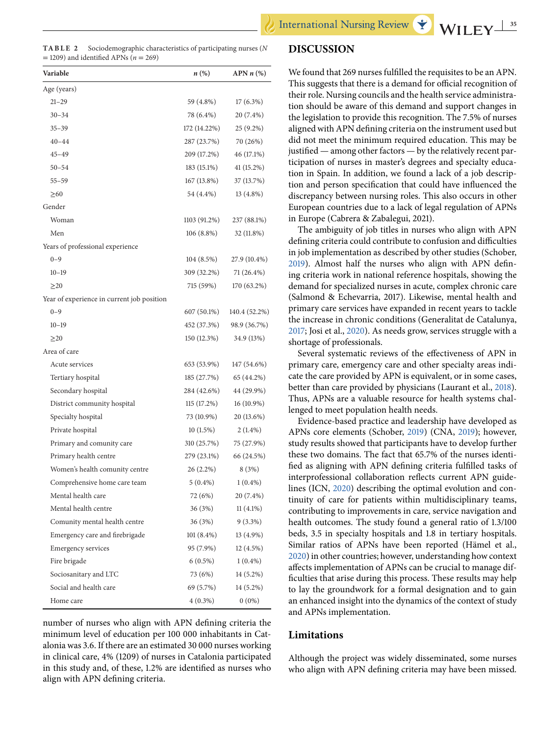<span id="page-5-0"></span>**TABLE**  Sociodemographic characteristics of participating nurses (*N* = 1209) and identified APNs (*n* = 269)

| Variable                                   | n (%)        | APN $n$ (%)   |
|--------------------------------------------|--------------|---------------|
| Age (years)                                |              |               |
| $21 - 29$                                  | 59 (4.8%)    | $17(6.3\%)$   |
| $30 - 34$                                  | 78 (6.4%)    | 20 (7.4%)     |
| $35 - 39$                                  | 172 (14.22%) | 25 (9.2%)     |
| $40 - 44$                                  | 287 (23.7%)  | 70 (26%)      |
| $45 - 49$                                  | 209 (17.2%)  | 46 (17.1%)    |
| $50 - 54$                                  | 183 (15.1%)  | 41 (15.2%)    |
| $55 - 59$                                  | 167 (13.8%)  | 37 (13.7%)    |
| $\geq 60$                                  | 54 (4.4%)    | $13(4.8\%)$   |
| Gender                                     |              |               |
| Woman                                      | 1103 (91.2%) | 237 (88.1%)   |
| Men                                        | $106(8.8\%)$ | 32 (11.8%)    |
| Years of professional experience           |              |               |
| $0 - 9$                                    | 104(8.5%)    | 27.9 (10.4%)  |
| $10 - 19$                                  | 309 (32.2%)  | 71 (26.4%)    |
| $\geq$ 20                                  | 715 (59%)    | 170 (63.2%)   |
| Year of experience in current job position |              |               |
| $0 - 9$                                    | 607 (50.1%)  | 140.4 (52.2%) |
| $10 - 19$                                  | 452 (37.3%)  | 98.9 (36.7%)  |
| $\geq$ 20                                  | 150(12.3%)   | 34.9 (13%)    |
| Area of care                               |              |               |
| Acute services                             | 653 (53.9%)  | 147 (54.6%)   |
| Tertiary hospital                          | 185 (27.7%)  | 65 (44.2%)    |
| Secondary hospital                         | 284 (42.6%)  | 44 (29.9%)    |
| District community hospital                | 115(17.2%)   | 16 (10.9%)    |
| Specialty hospital                         | 73 (10.9%)   | 20 (13.6%)    |
| Private hospital                           | 10(1.5%)     | $2(1.4\%)$    |
| Primary and comunity care                  | 310 (25.7%)  | 75 (27.9%)    |
| Primary health centre                      | 279 (23.1%)  | 66 (24.5%)    |
| Women's health comunity centre             | 26 (2.2%)    | 8 (3%)        |
| Comprehensive home care team               | $5(0.4\%)$   | $1(0.4\%)$    |
| Mental health care                         | 72 (6%)      | 20 (7.4%)     |
| Mental health centre                       | 36 (3%)      | $11(4.1\%)$   |
| Comunity mental health centre              | 36 (3%)      | $9(3.3\%)$    |
| Emergency care and firebrigade             | 101 (8.4%)   | 13 (4.9%)     |
| <b>Emergency services</b>                  | 95 (7.9%)    | 12 (4.5%)     |
| Fire brigade                               | $6(0.5\%)$   | $1(0.4\%)$    |
| Sociosanitary and LTC                      | 73 (6%)      | 14 (5.2%)     |
| Social and health care                     | 69 (5.7%)    | 14 (5.2%)     |
| Home care                                  | $4(0.3\%)$   | $0(0\%)$      |

number of nurses who align with APN defining criteria the minimum level of education per 100 000 inhabitants in Catalonia was 3.6. If there are an estimated 30 000 nurses working in clinical care, 4% (1209) of nurses in Catalonia participated in this study and, of these, 1.2% are identified as nurses who align with APN defining criteria.

## **DISCUSSION**

We found that 269 nurses fulfilled the requisites to be an APN. This suggests that there is a demand for official recognition of their role. Nursing councils and the health service administration should be aware of this demand and support changes in the legislation to provide this recognition. The 7.5% of nurses aligned with APN defining criteria on the instrument used but did not meet the minimum required education. This may be justified — among other factors — by the relatively recent participation of nurses in master's degrees and specialty education in Spain. In addition, we found a lack of a job description and person specification that could have influenced the discrepancy between nursing roles. This also occurs in other European countries due to a lack of legal regulation of APNs in Europe (Cabrera & Zabalegui, 2021).

The ambiguity of job titles in nurses who align with APN defining criteria could contribute to confusion and difficulties in job implementation as described by other studies (Schober, [2019\)](#page-7-0). Almost half the nurses who align with APN defining criteria work in national reference hospitals, showing the demand for specialized nurses in acute, complex chronic care (Salmond & Echevarria, 2017). Likewise, mental health and primary care services have expanded in recent years to tackle the increase in chronic conditions (Generalitat de Catalunya, [2017;](#page-6-0) Josi et al., [2020\)](#page-7-0). As needs grow, services struggle with a shortage of professionals.

Several systematic reviews of the effectiveness of APN in primary care, emergency care and other specialty areas indicate the care provided by APN is equivalent, or in some cases, better than care provided by physicians (Laurant et al., [2018\)](#page-7-0). Thus, APNs are a valuable resource for health systems challenged to meet population health needs.

Evidence-based practice and leadership have developed as APNs core elements (Schober, [2019\)](#page-7-0) (CNA, [2019\)](#page-6-0); however, study results showed that participants have to develop further these two domains. The fact that 65.7% of the nurses identified as aligning with APN defining criteria fulfilled tasks of interprofessional collaboration reflects current APN guidelines (ICN, [2020\)](#page-6-0) describing the optimal evolution and continuity of care for patients within multidisciplinary teams, contributing to improvements in care, service navigation and health outcomes. The study found a general ratio of 1.3/100 beds, 3.5 in specialty hospitals and 1.8 in tertiary hospitals. Similar ratios of APNs have been reported (Hämel et al., [2020\)](#page-6-0) in other countries; however, understanding how context affects implementation of APNs can be crucial to manage difficulties that arise during this process. These results may help to lay the groundwork for a formal designation and to gain an enhanced insight into the dynamics of the context of study and APNs implementation.

## **Limitations**

Although the project was widely disseminated, some nurses who align with APN defining criteria may have been missed.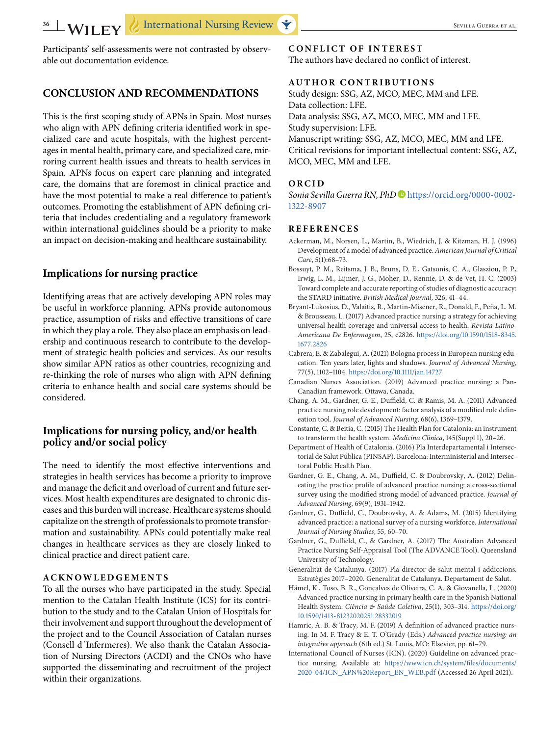<span id="page-6-0"></span>Participants' self-assessments were not contrasted by observable out documentation evidence.

# **CONCLUSION AND RECOMMENDATIONS**

This is the first scoping study of APNs in Spain. Most nurses who align with APN defining criteria identified work in specialized care and acute hospitals, with the highest percentages in mental health, primary care, and specialized care, mirroring current health issues and threats to health services in Spain. APNs focus on expert care planning and integrated care, the domains that are foremost in clinical practice and have the most potential to make a real difference to patient's outcomes. Promoting the establishment of APN defining criteria that includes credentialing and a regulatory framework within international guidelines should be a priority to make an impact on decision-making and healthcare sustainability.

## **Implications for nursing practice**

Identifying areas that are actively developing APN roles may be useful in workforce planning. APNs provide autonomous practice, assumption of risks and effective transitions of care in which they play a role. They also place an emphasis on leadership and continuous research to contribute to the development of strategic health policies and services. As our results show similar APN ratios as other countries, recognizing and re-thinking the role of nurses who align with APN defining criteria to enhance health and social care systems should be considered.

## **Implications for nursing policy, and/or health policy and/or social policy**

The need to identify the most effective interventions and strategies in health services has become a priority to improve and manage the deficit and overload of current and future services. Most health expenditures are designated to chronic diseases and this burden will increase. Healthcare systems should capitalize on the strength of professionals to promote transformation and sustainability. APNs could potentially make real changes in healthcare services as they are closely linked to clinical practice and direct patient care.

# **ACKNOWLEDGEMENTS**

To all the nurses who have participated in the study. Special mention to the Catalan Health Institute (ICS) for its contribution to the study and to the Catalan Union of Hospitals for their involvement and support throughout the development of the project and to the Council Association of Catalan nurses (Consell d´Infermeres). We also thank the Catalan Association of Nursing Directors (ACDI) and the CNOs who have supported the disseminating and recruitment of the project within their organizations.

#### **CONFLICT OF INTEREST**

The authors have declared no conflict of interest.

#### **AUTHOR CONTRIBUTIONS**

Study design: SSG, AZ, MCO, MEC, MM and LFE. Data collection: LFE. Data analysis: SSG, AZ, MCO, MEC, MM and LFE. Study supervision: LFE. Manuscript writing: SSG, AZ, MCO, MEC, MM and LFE. Critical revisions for important intellectual content: SSG, AZ, MCO, MEC, MM and LFE.

#### **ORCID**

*Sonia Sevilla Guerra RN, PhD* [https://orcid.org/0000-0002-](https://orcid.org/0000-0002-1322-8907) [1322-8907](https://orcid.org/0000-0002-1322-8907)

#### **REFERENCES**

- Ackerman, M., Norsen, L., Martin, B., Wiedrich, J. & Kitzman, H. J. (1996) Development of a model of advanced practice. *American Journal of Critical Care*, 5(1):68–73.
- Bossuyt, P. M., Reitsma, J. B., Bruns, D. E., Gatsonis, C. A., Glasziou, P. P., Irwig, L. M., Lijmer, J. G., Moher, D., Rennie, D. & de Vet, H. C. (2003) Toward complete and accurate reporting of studies of diagnostic accuracy: the STARD initiative. *British Medical Journal*, 326, 41–44.
- Bryant-Lukosius, D., Valaitis, R., Martin-Misener, R., Donald, F., Peña, L. M. & Brousseau, L. (2017) Advanced practice nursing: a strategy for achieving universal health coverage and universal access to health. *Revista Latino-Americana De Enfermagem*, 25, e2826. [https://doi.org/10.1590/1518-8345.](https://doi.org/10.1590/1518-8345.1677.2826) [1677.2826](https://doi.org/10.1590/1518-8345.1677.2826)
- Cabrera, E. & Zabalegui, A. (2021) Bologna process in European nursing education. Ten years later, lights and shadows. *Journal of Advanced Nursing*, 77(5), 1102–1104. <https://doi.org/10.1111/jan.14727>
- Canadian Nurses Association. (2019) Advanced practice nursing: a Pan-Canadian framework. Ottawa, Canada.
- Chang, A. M., Gardner, G. E., Duffield, C. & Ramis, M. A. (2011) Advanced practice nursing role development: factor analysis of a modified role delineation tool. *Journal of Advanced Nursing*, 68(6), 1369–1379.
- Constante, C. & Beitia, C. (2015) The Health Plan for Catalonia: an instrument to transform the health system. *Medicina Clinica*, 145(Suppl 1), 20–26.
- Department of Health of Catalonia. (2016) Pla Interdepartamental i Intersectorial de Salut Pública (PINSAP). Barcelona: Interministerial and Intersectoral Public Health Plan.
- Gardner, G. E., Chang, A. M., Duffield, C. & Doubrovsky, A. (2012) Delineating the practice profile of advanced practice nursing: a cross-sectional survey using the modified strong model of advanced practice. *Journal of Advanced Nursing*, 69(9), 1931–1942.
- Gardner, G., Duffield, C., Doubrovsky, A. & Adams, M. (2015) Identifying advanced practice: a national survey of a nursing workforce. *International Journal of Nursing Studies*, 55, 60–70.
- Gardner, G., Duffield, C., & Gardner, A. (2017) The Australian Advanced Practice Nursing Self-Appraisal Tool (The ADVANCE Tool). Queensland University of Technology.
- Generalitat de Catalunya. (2017) Pla director de salut mental i addiccions. Estratègies 2017–2020. Generalitat de Catalunya. Departament de Salut.
- Hämel, K., Toso, B. R., Gonçalves de Oliveira, C. A. & Giovanella, L. (2020) Advanced practice nursing in primary health care in the Spanish National Health System. *Ciência & Saúde Coletiva*, 25(1), 303–314. [https://doi.org/](https://doi.org/10.1590/1413-81232020251.28332019) [10.1590/1413-81232020251.28332019](https://doi.org/10.1590/1413-81232020251.28332019)
- Hamric, A. B. & Tracy, M. F. (2019) A definition of advanced practice nursing. In M. F. Tracy & E. T. O'Grady (Eds.) *Advanced practice nursing: an integrative approach* (6th ed.) St. Louis, MO: Elsevier, pp. 61–79.
- International Council of Nurses (ICN). (2020) Guideline on advanced practice nursing. Available at: [https://www.icn.ch/system/files/documents/](https://www.icn.ch/system/files/documents/2020-04/ICN_APN%20Report_EN_WEB.pdf) [2020-04/ICN\\_APN%20Report\\_EN\\_WEB.pdf](https://www.icn.ch/system/files/documents/2020-04/ICN_APN%20Report_EN_WEB.pdf) (Accessed 26 April 2021).